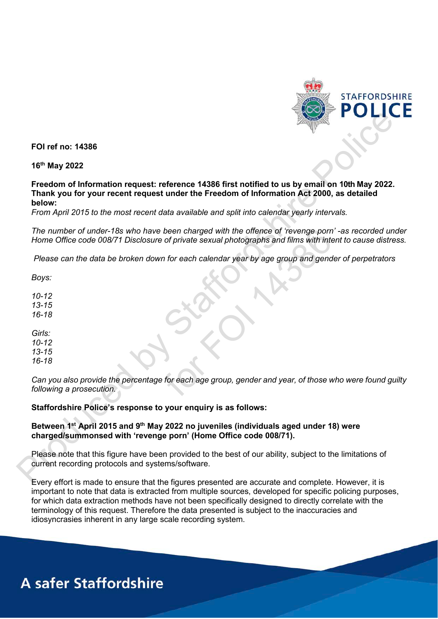

**FOI ref no: 14386**

**16th May 2022** 

**Freedom of Information request: reference 14386 first notified to us by email on 10th May 2022. Thank you for your recent request under the Freedom of Information Act 2000, as detailed below:**  FO I ref no: 14386<br>
16<sup>th</sup> May 2022<br>
Freedom of Information request: reference 14386 first notified to us by email on 10th May 2022.<br>
Then you is your space from the case of the Freedom of Information Act 2006, as deliable

*From April 2015 to the most recent data available and split into calendar yearly intervals.* 

*The number of under-18s who have been charged with the offence of 'revenge porn' -as recorded under Home Office code 008/71 Disclosure of private sexual photographs and films with intent to cause distress.* 

*Please can the data be broken down for each calendar year by age group and gender of perpetrators* 

*Boys:* 

*10-12 13-15 16-18*

*Girls: 10-12 13-15 16-18*

*Can you also provide the percentage for each age group, gender and year, of those who were found guilty following a prosecution.* 

## **Staffordshire Police's response to your enquiry is as follows:**

## **Between 1st April 2015 and 9th May 2022 no juveniles (individuals aged under 18) were charged/summonsed with 'revenge porn' (Home Office code 008/71).**

Please note that this figure have been provided to the best of our ability, subject to the limitations of current recording protocols and systems/software.

Every effort is made to ensure that the figures presented are accurate and complete. However, it is important to note that data is extracted from multiple sources, developed for specific policing purposes, for which data extraction methods have not been specifically designed to directly correlate with the terminology of this request. Therefore the data presented is subject to the inaccuracies and idiosyncrasies inherent in any large scale recording system. of under-18s who have been charged with the offence of 'revenge porn<br>
code 008/71 Disclosure of private sexual photographs and films with inte<br>
the data be broken down for each calendar year by age group and gend<br>
the data

## **A safer Staffordshire**